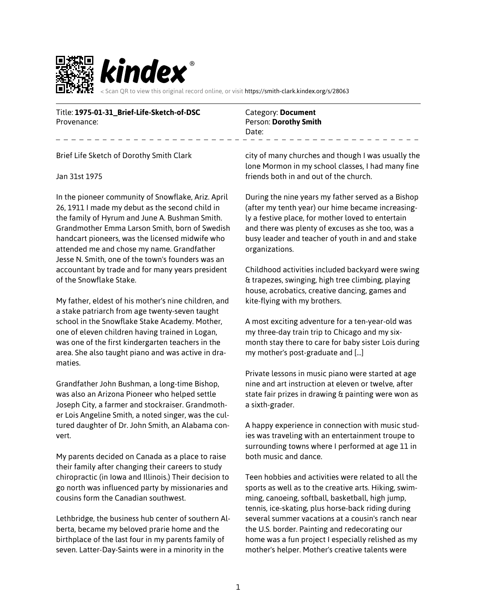

Title: **1975-01-31\_Brief-Life-Sketch-of-DSC** Provenance:

Category: **Document** Person: **Dorothy Smith** Date:

Brief Life Sketch of Dorothy Smith Clark

## Jan 31st 1975

In the pioneer community of Snowflake, Ariz. April 26, 1911 I made my debut as the second child in the family of Hyrum and June A. Bushman Smith. Grandmother Emma Larson Smith, born of Swedish handcart pioneers, was the licensed midwife who attended me and chose my name. Grandfather Jesse N. Smith, one of the town's founders was an accountant by trade and for many years president of the Snowflake Stake.

My father, eldest of his mother's nine children, and a stake patriarch from age twenty-seven taught school in the Snowflake Stake Academy. Mother, one of eleven children having trained in Logan, was one of the first kindergarten teachers in the area. She also taught piano and was active in dramaties.

Grandfather John Bushman, a long-time Bishop, was also an Arizona Pioneer who helped settle Joseph City, a farmer and stockraiser. Grandmother Lois Angeline Smith, a noted singer, was the cultured daughter of Dr. John Smith, an Alabama convert.

My parents decided on Canada as a place to raise their family after changing their careers to study chiropractic (in Iowa and Illinois.) Their decision to go north was influenced party by missionaries and cousins form the Canadian southwest.

Lethbridge, the business hub center of southern Alberta, became my beloved prarie home and the birthplace of the last four in my parents family of seven. Latter-Day-Saints were in a minority in the

city of many churches and though I was usually the lone Mormon in my school classes, I had many fine friends both in and out of the church.

During the nine years my father served as a Bishop (after my tenth year) our hime became increasingly a festive place, for mother loved to entertain and there was plenty of excuses as she too, was a busy leader and teacher of youth in and and stake organizations.

Childhood activities included backyard were swing & trapezes, swinging, high tree climbing, playing house, acrobatics, creative dancing, games and kite-flying with my brothers.

A most exciting adventure for a ten-year-old was my three-day train trip to Chicago and my sixmonth stay there to care for baby sister Lois during my mother's post-graduate and […]

Private lessons in music piano were started at age nine and art instruction at eleven or twelve, after state fair prizes in drawing & painting were won as a sixth-grader.

A happy experience in connection with music studies was traveling with an entertainment troupe to surrounding towns where I performed at age 11 in both music and dance.

Teen hobbies and activities were related to all the sports as well as to the creative arts. Hiking, swimming, canoeing, softball, basketball, high jump, tennis, ice-skating, plus horse-back riding during several summer vacations at a cousin's ranch near the U.S. border. Painting and redecorating our home was a fun project I especially relished as my mother's helper. Mother's creative talents were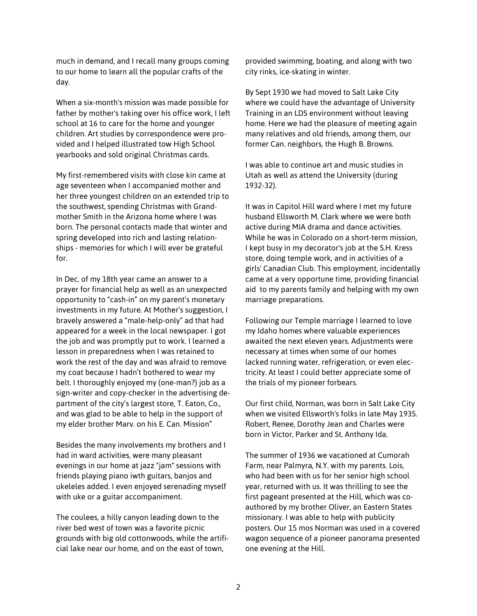much in demand, and I recall many groups coming to our home to learn all the popular crafts of the day.

When a six-month's mission was made possible for father by mother's taking over his office work, I left school at 16 to care for the home and younger children. Art studies by correspondence were provided and I helped illustrated tow High School yearbooks and sold original Christmas cards.

My first-remembered visits with close kin came at age seventeen when I accompanied mother and her three youngest children on an extended trip to the southwest, spending Christmas with Grandmother Smith in the Arizona home where I was born. The personal contacts made that winter and spring developed into rich and lasting relationships - memories for which I will ever be grateful for.

In Dec. of my 18th year came an answer to a prayer for financial help as well as an unexpected opportunity to "cash-in" on my parent's monetary investments in my future. At Mother's suggestion, I bravely answered a "male-help-only" ad that had appeared for a week in the local newspaper. I got the job and was promptly put to work. I learned a lesson in preparedness when I was retained to work the rest of the day and was afraid to remove my coat because I hadn't bothered to wear my belt. I thoroughly enjoyed my (one-man?) job as a sign-writer and copy-checker in the advertising department of the city's largest store, T. Eaton, Co., and was glad to be able to help in the support of my elder brother Marv. on his E. Can. Mission"

Besides the many involvements my brothers and I had in ward activities, were many pleasant evenings in our home at jazz "jam" sessions with friends playing piano iwth guitars, banjos and ukeleles added. I even enjoyed serenading myself with uke or a guitar accompaniment.

The coulees, a hilly canyon leading down to the river bed west of town was a favorite picnic grounds with big old cottonwoods, while the artificial lake near our home, and on the east of town,

provided swimming, boating, and along with two city rinks, ice-skating in winter.

By Sept 1930 we had moved to Salt Lake City where we could have the advantage of University Training in an LDS environment without leaving home. Here we had the pleasure of meeting again many relatives and old friends, among them, our former Can. neighbors, the Hugh B. Browns.

I was able to continue art and music studies in Utah as well as attend the University (during 1932-32).

It was in Capitol Hill ward where I met my future husband Ellsworth M. Clark where we were both active during MIA drama and dance activities. While he was in Colorado on a short-term mission, I kept busy in my decorator's job at the S.H. Kress store, doing temple work, and in activities of a girls' Canadian Club. This employment, incidentally came at a very opportune time, providing financial aid to my parents family and helping with my own marriage preparations.

Following our Temple marriage I learned to love my Idaho homes where valuable experiences awaited the next eleven years. Adjustments were necessary at times when some of our homes lacked running water, refrigeration, or even electricity. At least I could better appreciate some of the trials of my pioneer forbears.

Our first child, Norman, was born in Salt Lake City when we visited Ellsworth's folks in late May 1935. Robert, Renee, Dorothy Jean and Charles were born in Victor, Parker and St. Anthony Ida.

The summer of 1936 we vacationed at Cumorah Farm, near Palmyra, N.Y. with my parents. Lois, who had been with us for her senior high school year, returned with us. It was thrilling to see the first pageant presented at the Hill, which was coauthored by my brother Oliver, an Eastern States missionary. I was able to help with publicity posters. Our 15 mos Norman was used in a covered wagon sequence of a pioneer panorama presented one evening at the Hill.